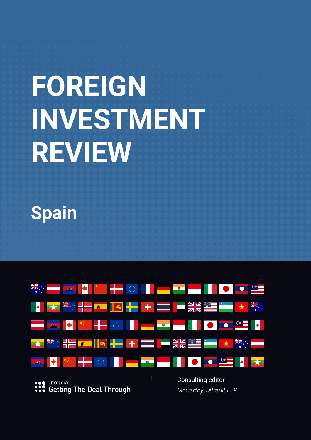# **FOREIGN INVESTMENT REVIEW**

**Spain**



LEXOLOGY **:::** Getting The Deal Through Consulting editor *McCarthy Tétrault LLP*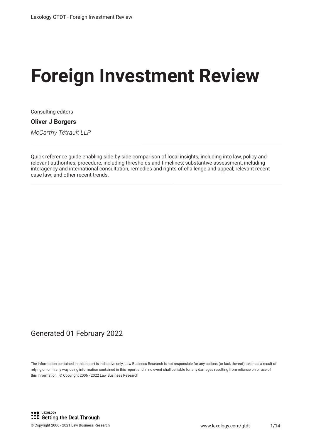# **Foreign Investment Review**

Consulting editors

#### **Oliver J Borgers**

*McCarthy Tétrault LLP*

Quick reference guide enabling side-by-side comparison of local insights, including into law, policy and relevant authorities; procedure, including thresholds and timelines; substantive assessment, including interagency and international consultation, remedies and rights of challenge and appeal; relevant recent case law; and other recent trends.

### Generated 01 February 2022

The information contained in this report is indicative only. Law Business Research is not responsible for any actions (or lack thereof) taken as a result of relying on or in any way using information contained in this report and in no event shall be liable for any damages resulting from reliance on or use of this information. © Copyright 2006 - 2022 Law Business Research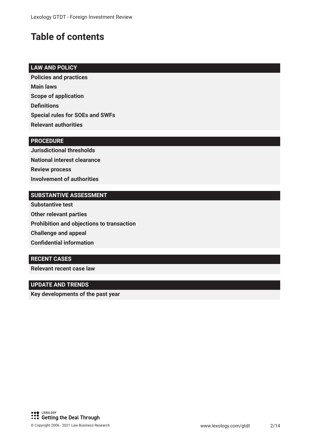# **Table of contents**

#### **LAW AND POLICY**

**Policies and practices Main laws Scope of application Defnitions Special rules for SOEs and SWFs Relevant authorities**

#### **PROCEDURE**

**Jurisdictional thresholds National interest clearance Review process Involvement of authorities**

#### **SUBSTANTIVE ASSESSMENT**

**Substantive test Other relevant parties Prohibition and objections to transaction Challenge and appeal Confdential information**

#### **RECENT CASES**

**Relevant recent case law**

#### **UPDATE AND TRENDS**

**Key developments of the past year**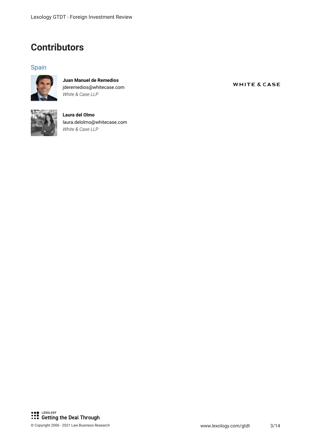## **Contributors**

#### Spain



**Juan Manuel de Remedios** jderemedios@whitecase.com *White & Case LLP*



**Laura del Olmo** laura.delolmo@whitecase.com *White & Case LLP*

**WHITE & CASE**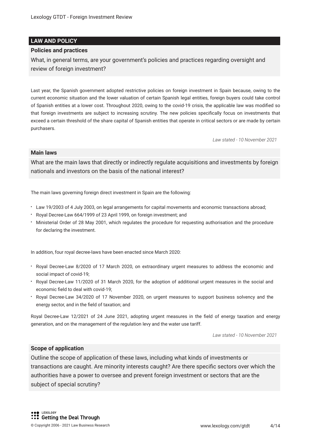#### **LAW AND POLICY**

#### **Policies and practices**

What, in general terms, are your government's policies and practices regarding oversight and review of foreign investment?

Last year, the Spanish government adopted restrictive policies on foreign investment in Spain because, owing to the current economic situation and the lower valuation of certain Spanish legal entities, foreign buyers could take control of Spanish entities at a lower cost. Throughout 2020, owing to the covid-19 crisis, the applicable law was modifed so that foreign investments are subject to increasing scrutiny. The new policies specifcally focus on investments that exceed a certain threshold of the share capital of Spanish entities that operate in critical sectors or are made by certain purchasers.

*Law stated - 10 November 2021*

#### **Main laws**

What are the main laws that directly or indirectly regulate acquisitions and investments by foreign nationals and investors on the basis of the national interest?

The main laws governing foreign direct investment in Spain are the following:

- Law 19/2003 of 4 July 2003, on legal arrangements for capital movements and economic transactions abroad;
- Royal Decree-Law 664/1999 of 23 April 1999, on foreign investment; and
- Ministerial Order of 28 May 2001, which regulates the procedure for requesting authorisation and the procedure for declaring the investment.

In addition, four royal decree-laws have been enacted since March 2020:

- Royal Decree-Law 8/2020 of 17 March 2020, on extraordinary urgent measures to address the economic and social impact of covid-19;
- Royal Decree-Law 11/2020 of 31 March 2020, for the adoption of additional urgent measures in the social and economic feld to deal with covid-19;
- Royal Decree-Law 34/2020 of 17 November 2020, on urgent measures to support business solvency and the energy sector, and in the feld of taxation; and

Royal Decree-Law 12/2021 of 24 June 2021, adopting urgent measures in the feld of energy taxation and energy generation, and on the management of the regulation levy and the water use tariff.

*Law stated - 10 November 2021*

#### **Scope of application**

Outline the scope of application of these laws, including what kinds of investments or transactions are caught. Are minority interests caught? Are there specifc sectors over which the authorities have a power to oversee and prevent foreign investment or sectors that are the subject of special scrutiny?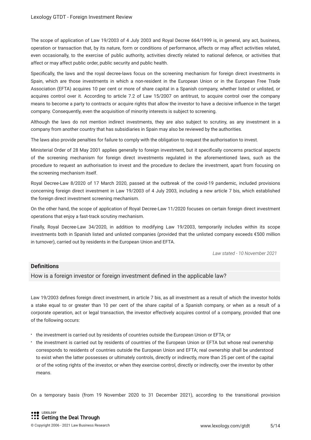The scope of application of Law 19/2003 of 4 July 2003 and Royal Decree 664/1999 is, in general, any act, business, operation or transaction that, by its nature, form or conditions of performance, affects or may affect activities related, even occasionally, to the exercise of public authority, activities directly related to national defence, or activities that affect or may affect public order, public security and public health.

Specifcally, the laws and the royal decree-laws focus on the screening mechanism for foreign direct investments in Spain, which are those investments in which a non-resident in the European Union or in the European Free Trade Association (EFTA) acquires 10 per cent or more of share capital in a Spanish company, whether listed or unlisted, or acquires control over it. According to article 7.2 of Law 15/2007 on antitrust, to acquire control over the company means to become a party to contracts or acquire rights that allow the investor to have a decisive infuence in the target company. Consequently, even the acquisition of minority interests is subject to screening.

Although the laws do not mention indirect investments, they are also subject to scrutiny, as any investment in a company from another country that has subsidiaries in Spain may also be reviewed by the authorities.

The laws also provide penalties for failure to comply with the obligation to request the authorisation to invest.

Ministerial Order of 28 May 2001 applies generally to foreign investment, but it specifcally concerns practical aspects of the screening mechanism for foreign direct investments regulated in the aforementioned laws, such as the procedure to request an authorisation to invest and the procedure to declare the investment, apart from focusing on the screening mechanism itself.

Royal Decree-Law 8/2020 of 17 March 2020, passed at the outbreak of the covid-19 pandemic, included provisions concerning foreign direct investment in Law 19/2003 of 4 July 2003, including a new article 7 bis, which established the foreign direct investment screening mechanism.

On the other hand, the scope of application of Royal Decree-Law 11/2020 focuses on certain foreign direct investment operations that enjoy a fast-track scrutiny mechanism.

Finally, Royal Decree-Law 34/2020, in addition to modifying Law 19/2003, temporarily includes within its scope investments both in Spanish listed and unlisted companies (provided that the unlisted company exceeds €500 million in turnover), carried out by residents in the European Union and EFTA.

*Law stated - 10 November 2021*

#### **Defnitions**

How is a foreign investor or foreign investment defned in the applicable law?

Law 19/2003 defnes foreign direct investment, in article 7 bis, as all investment as a result of which the investor holds a stake equal to or greater than 10 per cent of the share capital of a Spanish company, or when as a result of a corporate operation, act or legal transaction, the investor effectively acquires control of a company, provided that one of the following occurs:

- the investment is carried out by residents of countries outside the European Union or EFTA; or
- the investment is carried out by residents of countries of the European Union or EFTA but whose real ownership corresponds to residents of countries outside the European Union and EFTA; real ownership shall be understood to exist when the latter possesses or ultimately controls, directly or indirectly, more than 25 per cent of the capital or of the voting rights of the investor, or when they exercise control, directly or indirectly, over the investor by other means.

On a temporary basis (from 19 November 2020 to 31 December 2021), according to the transitional provision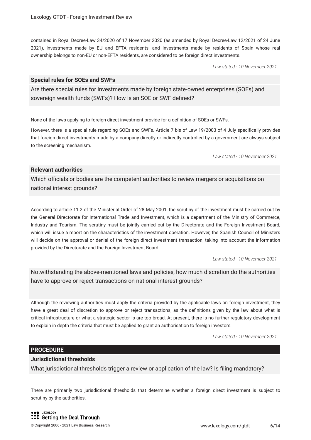contained in Royal Decree-Law 34/2020 of 17 November 2020 (as amended by Royal Decree-Law 12/2021 of 24 June 2021), investments made by EU and EFTA residents, and investments made by residents of Spain whose real ownership belongs to non-EU or non-EFTA residents, are considered to be foreign direct investments.

*Law stated - 10 November 2021*

#### **Special rules for SOEs and SWFs**

Are there special rules for investments made by foreign state-owned enterprises (SOEs) and sovereign wealth funds (SWFs)? How is an SOE or SWF defned?

None of the laws applying to foreign direct investment provide for a defnition of SOEs or SWFs.

However, there is a special rule regarding SOEs and SWFs. Article 7 bis of Law 19/2003 of 4 July specifcally provides that foreign direct investments made by a company directly or indirectly controlled by a government are always subject to the screening mechanism.

*Law stated - 10 November 2021*

#### **Relevant authorities**

Which officials or bodies are the competent authorities to review mergers or acquisitions on national interest grounds?

According to article 11.2 of the Ministerial Order of 28 May 2001, the scrutiny of the investment must be carried out by the General Directorate for International Trade and Investment, which is a department of the Ministry of Commerce, Industry and Tourism. The scrutiny must be jointly carried out by the Directorate and the Foreign Investment Board, which will issue a report on the characteristics of the investment operation. However, the Spanish Council of Ministers will decide on the approval or denial of the foreign direct investment transaction, taking into account the information provided by the Directorate and the Foreign Investment Board.

*Law stated - 10 November 2021*

Notwithstanding the above-mentioned laws and policies, how much discretion do the authorities have to approve or reject transactions on national interest grounds?

Although the reviewing authorities must apply the criteria provided by the applicable laws on foreign investment, they have a great deal of discretion to approve or reject transactions, as the defnitions given by the law about what is critical infrastructure or what a strategic sector is are too broad. At present, there is no further regulatory development to explain in depth the criteria that must be applied to grant an authorisation to foreign investors.

*Law stated - 10 November 2021*

#### **PROCEDURE**

#### **Jurisdictional thresholds**

What jurisdictional thresholds trigger a review or application of the law? Is fling mandatory?

There are primarily two jurisdictional thresholds that determine whether a foreign direct investment is subject to scrutiny by the authorities.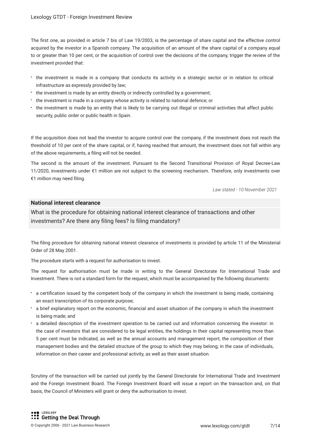The frst one, as provided in article 7 bis of Law 19/2003, is the percentage of share capital and the effective control acquired by the investor in a Spanish company. The acquisition of an amount of the share capital of a company equal to or greater than 10 per cent, or the acquisition of control over the decisions of the company, trigger the review of the investment provided that:

- the investment is made in a company that conducts its activity in a strategic sector or in relation to critical infrastructure as expressly provided by law;
- the investment is made by an entity directly or indirectly controlled by a government;
- the investment is made in a company whose activity is related to national defence; or
- the investment is made by an entity that is likely to be carrying out illegal or criminal activities that affect public security, public order or public health in Spain.

If the acquisition does not lead the investor to acquire control over the company, if the investment does not reach the threshold of 10 per cent of the share capital, or if, having reached that amount, the investment does not fall within any of the above requirements, a fling will not be needed.

The second is the amount of the investment. Pursuant to the Second Transitional Provision of Royal Decree-Law 11/2020, investments under €1 million are not subject to the screening mechanism. Therefore, only investments over €1 million may need fling.

*Law stated - 10 November 2021*

#### **National interest clearance**

What is the procedure for obtaining national interest clearance of transactions and other investments? Are there any fling fees? Is fling mandatory?

The fling procedure for obtaining national interest clearance of investments is provided by article 11 of the Ministerial Order of 28 May 2001 .

The procedure starts with a request for authorisation to invest.

The request for authorisation must be made in writing to the General Directorate for International Trade and Investment. There is not a standard form for the request, which must be accompanied by the following documents:

- a certifcation issued by the competent body of the company in which the investment is being made, containing an exact transcription of its corporate purpose;
- a brief explanatory report on the economic, fnancial and asset situation of the company in which the investment is being made; and
- a detailed description of the investment operation to be carried out and information concerning the investor: in the case of investors that are considered to be legal entities, the holdings in their capital representing more than 5 per cent must be indicated, as well as the annual accounts and management report, the composition of their management bodies and the detailed structure of the group to which they may belong; in the case of individuals, information on their career and professional activity, as well as their asset situation.

Scrutiny of the transaction will be carried out jointly by the General Directorate for International Trade and Investment and the Foreign Investment Board. The Foreign Investment Board will issue a report on the transaction and, on that basis, the Council of Ministers will grant or deny the authorisation to invest.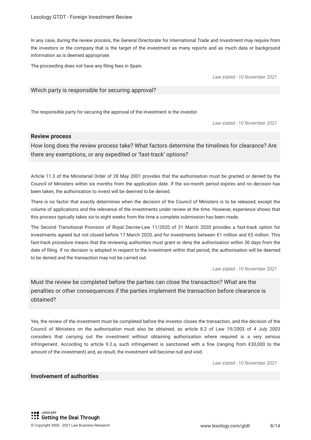In any case, during the review process, the General Directorate for International Trade and Investment may require from the investors or the company that is the target of the investment as many reports and as much data or background information as is deemed appropriate.

The proceeding does not have any fling fees in Spain.

*Law stated - 10 November 2021*

#### Which party is responsible for securing approval?

The responsible party for securing the approval of the investment is the investor.

*Law stated - 10 November 2021*

#### **Review process**

How long does the review process take? What factors determine the timelines for clearance? Are there any exemptions, or any expedited or 'fast-track' options?

Article 11.3 of the Ministerial Order of 28 May 2001 provides that the authorisation must be granted or denied by the Council of Ministers within six months from the application date. If the six-month period expires and no decision has been taken, the authorisation to invest will be deemed to be denied.

There is no factor that exactly determines when the decision of the Council of Ministers is to be released, except the volume of applications and the relevance of the investments under review at the time. However, experience shows that this process typically takes six to eight weeks from the time a complete submission has been made.

The Second Transitional Provision of Royal Decree-Law 11/2020 of 31 March 2020 provides a fast-track option for investments agreed but not closed before 17 March 2020, and for investments between €1 million and €5 million. This fast-track procedure means that the reviewing authorities must grant or deny the authorisation within 30 days from the date of fling. If no decision is adopted in respect to the investment within that period, the authorisation will be deemed to be denied and the transaction may not be carried out.

*Law stated - 10 November 2021*

Must the review be completed before the parties can close the transaction? What are the penalties or other consequences if the parties implement the transaction before clearance is obtained?

Yes, the review of the investment must be completed before the investor closes the transaction, and the decision of the Council of Ministers on the authorisation must also be obtained, as article 8.2 of Law 19/2003 of 4 July 2003 considers that carrying out the investment without obtaining authorisation where required is a very serious infringement. According to article 9.2.a, such infringement is sanctioned with a fne (ranging from €30,000 to the amount of the investment) and, as result, the investment will become null and void.

*Law stated - 10 November 2021*

#### **Involvement of authorities**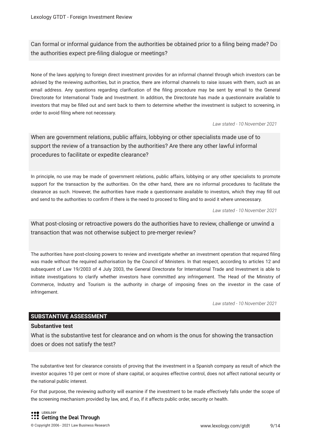Can formal or informal guidance from the authorities be obtained prior to a fling being made? Do the authorities expect pre-fling dialogue or meetings?

None of the laws applying to foreign direct investment provides for an informal channel through which investors can be advised by the reviewing authorities, but in practice, there are informal channels to raise issues with them, such as an email address. Any questions regarding clarifcation of the fling procedure may be sent by email to the General Directorate for International Trade and Investment. In addition, the Directorate has made a questionnaire available to investors that may be flled out and sent back to them to determine whether the investment is subject to screening, in order to avoid fling where not necessary.

*Law stated - 10 November 2021*

When are government relations, public affairs, lobbying or other specialists made use of to support the review of a transaction by the authorities? Are there any other lawful informal procedures to facilitate or expedite clearance?

In principle, no use may be made of government relations, public affairs, lobbying or any other specialists to promote support for the transaction by the authorities. On the other hand, there are no informal procedures to facilitate the clearance as such. However, the authorities have made a questionnaire available to investors, which they may fll out and send to the authorities to confrm if there is the need to proceed to fling and to avoid it where unnecessary.

*Law stated - 10 November 2021*

What post-closing or retroactive powers do the authorities have to review, challenge or unwind a transaction that was not otherwise subject to pre-merger review?

The authorities have post-closing powers to review and investigate whether an investment operation that required fling was made without the required authorisation by the Council of Ministers. In that respect, according to articles 12 and subsequent of Law 19/2003 of 4 July 2003, the General Directorate for International Trade and Investment is able to initiate investigations to clarify whether investors have committed any infringement. The Head of the Ministry of Commerce, Industry and Tourism is the authority in charge of imposing fnes on the investor in the case of infringement.

*Law stated - 10 November 2021*

#### **SUBSTANTIVE ASSESSMENT**

#### **Substantive test**

What is the substantive test for clearance and on whom is the onus for showing the transaction does or does not satisfy the test?

The substantive test for clearance consists of proving that the investment in a Spanish company as result of which the investor acquires 10 per cent or more of share capital, or acquires effective control, does not affect national security or the national public interest.

For that purpose, the reviewing authority will examine if the investment to be made effectively falls under the scope of the screening mechanism provided by law, and, if so, if it affects public order, security or health.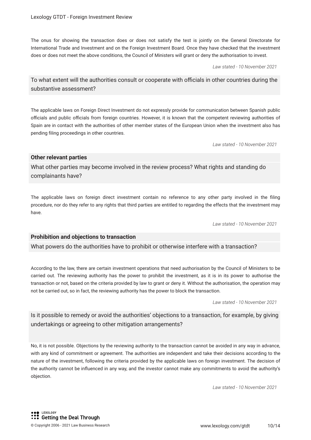The onus for showing the transaction does or does not satisfy the test is jointly on the General Directorate for International Trade and Investment and on the Foreign Investment Board. Once they have checked that the investment does or does not meet the above conditions, the Council of Ministers will grant or deny the authorisation to invest.

*Law stated - 10 November 2021*

#### To what extent will the authorities consult or cooperate with officials in other countries during the substantive assessment?

The applicable laws on Foreign Direct Investment do not expressly provide for communication between Spanish public officials and public officials from foreign countries. However, it is known that the competent reviewing authorities of Spain are in contact with the authorities of other member states of the European Union when the investment also has pending fling proceedings in other countries.

*Law stated - 10 November 2021*

#### **Other relevant parties**

What other parties may become involved in the review process? What rights and standing do complainants have?

The applicable laws on foreign direct investment contain no reference to any other party involved in the fling procedure, nor do they refer to any rights that third parties are entitled to regarding the effects that the investment may have.

*Law stated - 10 November 2021*

#### **Prohibition and objections to transaction**

What powers do the authorities have to prohibit or otherwise interfere with a transaction?

According to the law, there are certain investment operations that need authorisation by the Council of Ministers to be carried out. The reviewing authority has the power to prohibit the investment, as it is in its power to authorise the transaction or not, based on the criteria provided by law to grant or deny it. Without the authorisation, the operation may not be carried out, so in fact, the reviewing authority has the power to block the transaction.

*Law stated - 10 November 2021*

Is it possible to remedy or avoid the authorities' objections to a transaction, for example, by giving undertakings or agreeing to other mitigation arrangements?

No, it is not possible. Objections by the reviewing authority to the transaction cannot be avoided in any way in advance, with any kind of commitment or agreement. The authorities are independent and take their decisions according to the nature of the investment, following the criteria provided by the applicable laws on foreign investment. The decision of the authority cannot be infuenced in any way, and the investor cannot make any commitments to avoid the authority's objection.

*Law stated - 10 November 2021*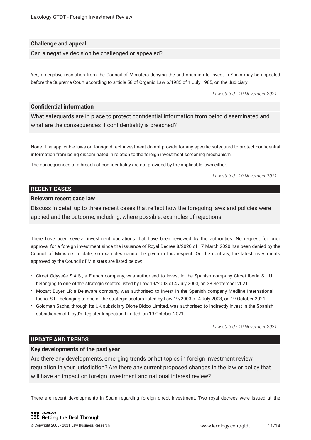#### **Challenge and appeal**

Can a negative decision be challenged or appealed?

Yes, a negative resolution from the Council of Ministers denying the authorisation to invest in Spain may be appealed before the Supreme Court according to article 58 of Organic Law 6/1985 of 1 July 1985, on the Judiciary.

*Law stated - 10 November 2021*

#### **Confdential information**

What safeguards are in place to protect confdential information from being disseminated and what are the consequences if confdentiality is breached?

None. The applicable laws on foreign direct investment do not provide for any specifc safeguard to protect confdential information from being disseminated in relation to the foreign investment screening mechanism.

The consequences of a breach of confdentiality are not provided by the applicable laws either.

*Law stated - 10 November 2021*

#### **RECENT CASES**

#### **Relevant recent case law**

Discuss in detail up to three recent cases that refect how the foregoing laws and policies were applied and the outcome, including, where possible, examples of rejections.

There have been several investment operations that have been reviewed by the authorities. No request for prior approval for a foreign investment since the issuance of Royal Decree 8/2020 of 17 March 2020 has been denied by the Council of Ministers to date, so examples cannot be given in this respect. On the contrary, the latest investments approved by the Council of Ministers are listed below:

- Circet Odyssée S.A.S., a French company, was authorised to invest in the Spanish company Circet Iberia S.L.U. belonging to one of the strategic sectors listed by Law 19/2003 of 4 July 2003, on 28 September 2021.
- Mozart Buyer LP, a Delaware company, was authorised to invest in the Spanish company Medline International Iberia, S.L., belonging to one of the strategic sectors listed by Law 19/2003 of 4 July 2003, on 19 October 2021.
- Goldman Sachs, through its UK subsidiary Dione Bidco Limited, was authorised to indirectly invest in the Spanish subsidiaries of Lloyd's Register Inspection Limited, on 19 October 2021.

*Law stated - 10 November 2021*

#### **UPDATE AND TRENDS**

#### **Key developments of the past year**

Are there any developments, emerging trends or hot topics in foreign investment review regulation in your jurisdiction? Are there any current proposed changes in the law or policy that will have an impact on foreign investment and national interest review?

There are recent developments in Spain regarding foreign direct investment. Two royal decrees were issued at the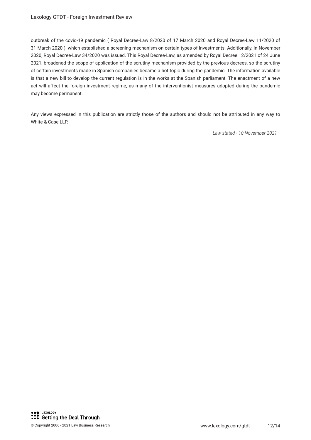outbreak of the covid-19 pandemic ( Royal Decree-Law 8/2020 of 17 March 2020 and Royal Decree-Law 11/2020 of 31 March 2020 ), which established a screening mechanism on certain types of investments. Additionally, in November 2020, Royal Decree-Law 34/2020 was issued. This Royal Decree-Law, as amended by Royal Decree 12/2021 of 24 June 2021, broadened the scope of application of the scrutiny mechanism provided by the previous decrees, so the scrutiny of certain investments made in Spanish companies became a hot topic during the pandemic. The information available is that a new bill to develop the current regulation is in the works at the Spanish parliament. The enactment of a new act will affect the foreign investment regime, as many of the interventionist measures adopted during the pandemic may become permanent.

Any views expressed in this publication are strictly those of the authors and should not be attributed in any way to White & Case LLP.

*Law stated - 10 November 2021*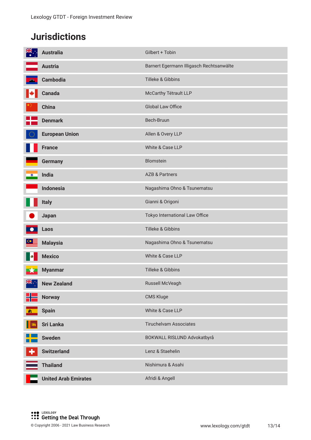# **Jurisdictions**

| <b>NK</b> | <b>Australia</b>            | Gilbert + Tobin                          |
|-----------|-----------------------------|------------------------------------------|
|           | <b>Austria</b>              | Barnert Egermann Illigasch Rechtsanwälte |
|           | <b>Cambodia</b>             | Tilleke & Gibbins                        |
| K         | <b>Canada</b>               | McCarthy Tétrault LLP                    |
|           | <b>China</b>                | Global Law Office                        |
|           | <b>Denmark</b>              | Bech-Bruun                               |
|           | <b>European Union</b>       | Allen & Overy LLP                        |
|           | <b>France</b>               | White & Case LLP                         |
|           | <b>Germany</b>              | Blomstein                                |
| $\circ$   | India                       | <b>AZB &amp; Partners</b>                |
|           | <b>Indonesia</b>            | Nagashima Ohno & Tsunematsu              |
|           | <b>Italy</b>                | Gianni & Origoni                         |
|           | Japan                       | Tokyo International Law Office           |
|           | Laos                        | Tilleke & Gibbins                        |
|           | <b>Malaysia</b>             | Nagashima Ohno & Tsunematsu              |
|           | <b>Mexico</b>               | White & Case LLP                         |
|           | <b>Myanmar</b>              | Tilleke & Gibbins                        |
| NK .      | <b>New Zealand</b>          | Russell McVeagh                          |
|           | <b>Norway</b>               | CMS Kluge                                |
| - and     | <b>Spain</b>                | White & Case LLP                         |
|           | <b>Sri Lanka</b>            | <b>Tiruchelvam Associates</b>            |
|           | <b>Sweden</b>               | BOKWALL RISLUND Advokatbyrå              |
|           | <b>Switzerland</b>          | Lenz & Staehelin                         |
|           | <b>Thailand</b>             | Nishimura & Asahi                        |
|           | <b>United Arab Emirates</b> | Afridi & Angell                          |